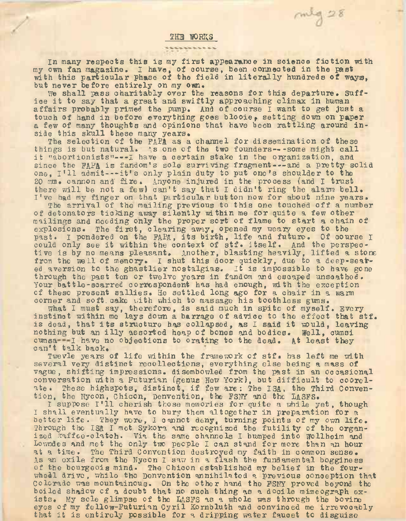## **THE WORKS**

In many respects this is my first appearance in science fiction with my own fan magazine. I have, of course, been connected in the past with this particular phase of the field in literally hundreds of ways, but never before entirely on my own.

 $m/g28$ 

We shall pass charitably over the reasons for this departure. Suffice it to say that <sup>a</sup> great and swiftly approaching climax in human affairs probably primed the pump. And of course I want to get just a touch of hand in before everything goes blooie, setting down on paper a few of many thoughts and opinions that have been rattling around inside this skull these many years.

The selection of the FAPA as a channel for dissemination of these things is but natural. As one of the two founders---some might call it "abortionists"---! have <sup>a</sup> certain stake in the organization, and since the FAFA is fandom's sole surviving fragment---and a pretty solid one, I'll admit---it'<sup>s</sup> only plain duty to put one'<sup>s</sup> shoulder to the <sup>20</sup> mm. cannon and' fire. Anyone injured in the process (and I trust there will be not a few) can't say that I didn't ring the alarm bell. I've had my finger on that particular button now for about nine years.

The arrival of the mailing previous to this one touched off a number of detonators ticking away silently within me for quite a few other mailings and needing only the proper sort of flame to start a chain of explosions. The first, clearing away, opened my weary eyes to the past. I pondered on the FAPA, its birth, life and future. Of course <sup>I</sup> could only see it within the context of stf. itself. And the perspective is by no means pleasant. Another, blasting heavily, lifted a stone from the well of memory. I shut this door quickly, due to a deep-seated aversion to the ghastlier nostalgias. It is impossible to have gone through the past ten or twelve years in fandom and escaped unscathed. Your.battle-scarred correspondent has had enough, with the exception of these present sallies. He settled long ago for a chair in <sup>a</sup> warm corner and soft cake with which to massage his toothless gums.

What I must say, therefore, is said much in spite of myself. Every what I must say, therefore, is said much in spite of mysell. Every is dead, that its structure has collapsed, as I said it would, leaving nothing but an illy assorted heap of bones and bodies. Well, cumsi cumsa -- I have no objections to orating to the dead. At least they can't talk back.

Twevle years of life within the framework of stf. has left me with several very distinct recollections, everything else being a mass of vague, shifting impressions. disembowled from the past in an occasional conversation with a Futurian (genus New York), but difficult to coorelate. These highspots, distinct, if few are: The ISA, the Third Convention, the Nycon, Chicon, Denvention, the FS1TY and the LASFS.

<sup>I</sup> suppose I'll cherish those memories for quite <sup>a</sup> while yet, though I shall eventually have to bury them altogether in preparation for a better life. They wore, I cannot deny, turning points of my own life. Through the ISA I met Sykora and recognized the futility of the organized kaffee-olatch. Via the same channels I bumped into wollheim and Lowndes and met the only two people I can stand for more than an hour at a time. The Third Convention destroyed my faith in common sense. As an exile from the Nycon I saw in a flash the fundamental bogginess of the bourgeois mind. The Chicon established my belief in the fourwheel drive, while the Denvention annihilated a previous conception that Colorado was mountainous. On the other hand the FSNY proved beyond the boiled shadow of a doubt that no such thing as a docile mimeograph exists. My sole glimpse of the LASFS as <sup>a</sup> whole was through the bovine eyes of my fellow-Futurian Cyril Kornbluth and convinced me irrevocably that it is entirely possible for <sup>a</sup> dripping water faucet to disguise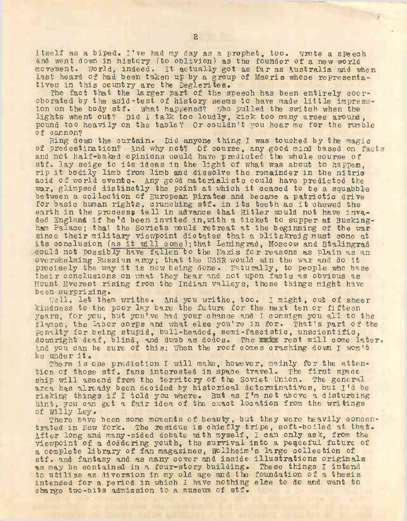itself as <sup>a</sup> biped. I've had my day as a prophet, too. wrote a speech and went down in history (to oblivion) as the founder of a new world movement. World, indeed. It actually got as far as Australia and when last heard of had been taken up by a group of Maoris whose representatives in this country are the Deglerites.

The fact that the larger part of the speech has been entirely cooroborated by the acid-test of history seems to have made little impression on the body stf. What happened? Who pulled the switch when the lights whent out? Did I talk too loudly, kick too many arses around , pound too heavily on the table? Or couldn't you hear me for the rumble of cannon?

Ring down the curtain. Did anyone thing I was touched by the magic of predestination? And why not? Of course, any good mind based on facts and not half-baked opinions could have predicted the whole course of stf. lay seige to its ideas in the light of what was about to happen, rip it. bodily limb from limb and dissolve the remainder in the nitric acid of world events. Any good materialists could have predicted the war, glimpsed distinctly the point at which it ceased to be <sup>a</sup> squabble between a collection of European pirates and became a patriotic drive for basic human rights, crunching stf. in its teeth as it chewed the earth in the process; tell in advance that Hitler would not have invaded England if he'<sup>d</sup> been invited in,with <sup>a</sup> ticket to supper at Buckingham Palace; that the Soviets would retreat at the beginning of the war since their military viewpoint dictates that a blitzkreig must come at its conclusion (as it will come);that Leningrad, Moscow and Stalingrad could not possibly have fallen to the Mazis for reasons as plain as an overwhelming Russian army; that the USSR would win the war and do it precisely the way it is now being done, naturally, to people who base their conclusions on what they hear and not upon facts as obvious as Mount Everest rising from the Indian valleys, these things might have been surprizing.

Well, let them writhe. And you writhe, too. I might, out of sheer kindness to the poor lay bare the future for the next ten or fifteen years, for you, but you've had your chance and I consign you all to the flames, the Labor corps and what else you're in for. That's part of the penalty for being stupid, bull-headed, semi-fascistic, unscientific, downright deaf, blind, and dumb as dodos. The make rest will come later. And you can be sure of this: When the roof comes crashing down I won't<br>be under it.

be under it.<br>There is one prediction I will make, however, mainly for the attention of those stf. fans interested in space travel. The first spaceship will ascend from the territory of the Soviet Union. The general area has already been decided by historical determinatives, but I'<sup>d</sup> be risking things if <sup>I</sup> told you where. But as I'<sup>m</sup> not above <sup>a</sup> disturbing hint, you can get a fair idea of the exact location from the writings of Willy Ley.

There have been some moments of beauty, but they were heavily concentrated in New York. The residue is chiefly tripe, soft-boiled at that. After long and many-sided debate with myself, I can only ask, from the viewpoint of a doddering youth, the survival into a peaceful future of a complete library of fan magazines, Wellheim's large collection of stf. and fantasy and as many cover and inside illustrations originals as may be contained in a four-story building. These things I intend to utilize as diversion in my old age and the foundation of a thesis intended for a period in which I have nothing else to do and want to charge two-bits admission to a museum of stf.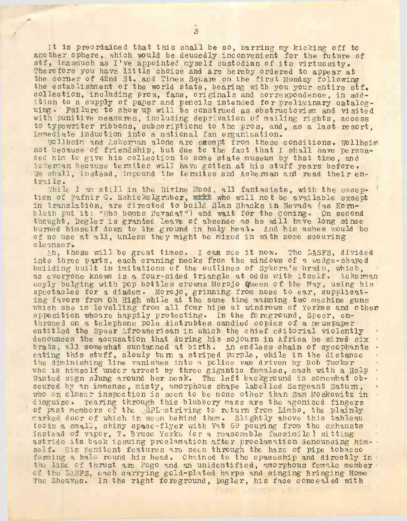It is preordained that this shall be so, barring my kicking off to another sphere, which would be deucedly inconvenient for the future of stf, inasmuch as  $I'$ ve appointed myself custodian of its virtuosity. Therefore you have little choice and are hereby ordered to appear at the comer of 42nd St. and Times Square on the first Monday following the establishment of the world state, bearing with you your entire stf. collection, including pros, fans, originals and correspondence, in addition to a supply of paper and pencils intended for preliminary catalog-<br>uing. Failure to show up will be construed as obstructovism and visited Failure to show up will be construed as obstructovism and visited with punitive measures, including deprivation of mailing rights, access' to typewriter ribbons, subscriptions to the pros, and, as a last resort, immediate induction into a national fan organization.

Wollheim and Ackerman alone are exempt from these conditions, wollheim not because of friendship, but due to the fact that I shall have persuaded him to give his collection to some state museum by that time, and Ackerman because termites will have gotten at his stuff years before. s7e shall, instead, impound the termites and Ackerman and read their entrails.

While <sup>I</sup> am still in the Divine Mood, all fantaoists, with the oxcep- ' tion of Fafnir G. Schickelgruber, while who will not be available except in translation, are directed to build Sian Shacks in Nevada (as Kombluth put it: "Who bombs Nevada?") and wait for the coming. On second thought, Degler is granted leave of absence as he will have long since burned himself down to the ground in holy heat. And his ashes would be of no use at all, unless they might be mixed in with some scouring cleanse r.

Ah, those will be great times. <sup>I</sup> can see it now. The LASFS, divided into three parts, each craning necks from the windows of a wedge-shaped building built in imitations of the outlines of Sykora's brain, which,<br>as everyone knows is a four-sided triangle at odds with itself. Ackerman as everyone knows is a four-sided triangle at odds with itself. coyly bulging with pop bottles crowns Morojo Queen of the May, using bis spectacles for a diadem. Morojo, grinning from nose to ear, supplicating favors from Oh High while at the same time manning two machine guns which she is levelling from all four hips at windrows of Yerkes and other opposition whoare happily protesting. In the foreground, Speer, enthroned on a telephone pole distrubtes candied copies of a newspaper entitled the Speer Afroamerioan in which the chief editorial violently denounces the accusation that during his sojourn in Africa he sired six \* brats, all somewhat suntanned at birth. An endless chain of sycophants . eating this stuff, slowly turn a striped purple, while in the distance the diminishing line vanishes into a police van driven by Bob Tucker who is himself under arrest by three gigantic females, each with a Help Vanted sign slung around her neck. The left background is somewhat obscured by an immense, misty, amorphous shape labelled Sergeant Satum, who on closer inspection is seen to be none other than Sam Moskowitz in disguise. Tearing through this blubbory mass are the agonised fingers of past members of the SFL striving to return from Limbo, the plainly marked door of which in seen behind them. Slightly above this tableau toots a small, shiny space-flyer with Vat 69 pouring from the exhausts instead of vapor, T. Bruco Yorke (or a reasonable facsimile) sitting astride its back issuing proclamation after proclamation denouncing him- • self. His penitent features are seen through the haze of pipe tobacco forming a halo round his head. Chained to the spaceship and directly in  $\cdot$ the line of thrust are Pogo and an unidentified, amorphous female member • of the LASFS, each carrying gold-plated harps and singing Bringing Home The Sheaves. In the right foreground, Degler, his face concealed with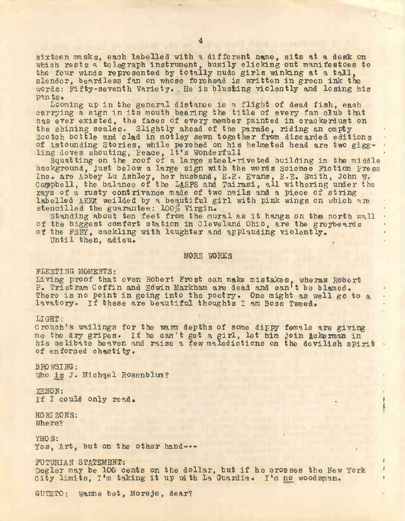sixteen masks, each labelled with a different name, sits at a desk on which rests a telegraph instrument, busily clicking out manifestoes to which reses a telegraph instrument, busify cricking out manifestees slender, beardless fan on whose forehead is written in green ink the words: Fifty-seventh Variety. . He is blushing violently and losing his pants.

Looming up in the general distance is a flight of dead fish, each carrying <sup>a</sup> sign in its mouth bearing the title of every fan club that has ever existed, the faces of every member painted in crackerdust on the shining scales. Slightly ahead of the parade, riding an empty scotch bottle and clad in motley sewn together from discarded editions of Astounding Stories, while perched on his helmeted head are two giggor astounding Stories, while perched on his helmeted head are two gigg-<br>ling doves shouting, Peace, It's Wonderfull

Squatting on the roof of a large steel-rive ted building in the middle background, just below a large sign with the words Science Fiction Press Inc. are Abbey Lu Ashley, her husband, E.E. Evans, E.E. Smith, John w. Campbell, the balance of the LASFS and Tairasi, all withering under the rays of a rusty contrivance made of two nails and a piece of string labelled AKKE weilded by a beautiful girl with pink wings on which are stencilled the guarantee: 100% Virgin.

standing about ten feet from the mural as it hangs on the north wall of the biggest comfort station in Cleveland Ohio, are the greybeards • of the FSNY, cackling with laughter and applauding violently.<br>Until then, adieu.

MORE WORKS

FLEETING MOMENTS: Living proof that even Robert Frost can make mistakes, wheras Robert P. Tristram Coffin and Edwin Markham are dead and can't be blamed. There is no point in going into the poetry. One might as well go to a lavatory. If these are beautiful thoughts I am Boss Tweed.

LIGHT:<br>Crouch's wailings for the warm depths of some dippy female are giving me- the dry gripes. If he can't get a girl, let him join Ackerman in his celibate heaven and raise a few maledictions on the devilish spirit . of enforced chastity.

BROWSING: Who is J. Michgel Rosenblum?

 $\mathbb{Z} \mathbb{Z} \mathbb{N} \mathbb{O} \mathbb{N}$ : XENON:<br>If I could only read.

HORIZONS: Where? . .

YHOS:<br>Yes, Art, but on the other hand---

FUTURIAN STATEMENT:<br>Degler may be 100 cents on the dollar, but if he crosses the New York <sup>1</sup> Degler may be 100 cents on the dollar, but if he crosses the New York  $\frac{1}{2}$ .

GUTETO: warme bet, Morojo, dear? •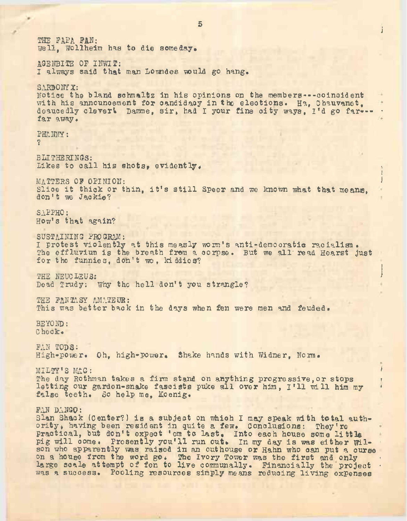s in the second contract of the second contract of the second contract of the second contract of the second contract of the second contract of the second contract of the second contract of the second contract of the second i THE FAPA FAN: Well, Wollheim has to die someday. AGENBITE OF INWIT: I always said that man Lowndes would go hang, SARDONY X: Notice the bland schmaltz in his opinions on the members---ooinoident with his announcement for candidacy in the elections. Ha, Chauvanet, deaucedly clevert Damme, sir, had I your fine city ways, I'd go far--far away, PHANNY: ? BLITHERINGS: Likes to call his shots, evidently. i MATTERS OF OPINION: Slice it thick or thin, it's still Speer and we known what that means. don't we Jackie? SAPPHO: How's that again? SUSTAINING PROGRAM: I protest violently at this measly worm's anti-demooratio racialism. The effluvium is the breath from a corpse. But we all read Hearst just for the funnies, don't we, kiddies? THE NEUCLEUS: 1990 STATE SERVICE SERVICE SERVICE SERVICE SERVICE SERVICE SERVICE SERVICE SERVICE SERVICE SERVICE THE NEUCLEUS:<br>Dead Trudy: Why the hell don't you strangle? THE FANTASY AMATEUR: This was better back in the days when fen were men and feuded. BEYOND: Check. FAN TODS: High-power. Oh, high-power. Shake hands with Widner, Norm, MILTY'<sup>S</sup> MAG: \* The day Rothman takes a firm stand on anything progressive, or stops ?<br>letting our garden-snake fascists puke all over him, I'll will him my ? letting our gardon-snake fascists puke all over him, I'll will him my false teeth. So help me, Koenig. FAN DANGO: Sian Shack (center?) is a subject on which I may speak with total authority, having been resident in quite a few. Conclusions: They're practical, but don't expect 'em to last. Into each house some little pig will come. Presently you'll run out. In my day is was either Wilson who apparently was raised in an outhouse or Hahn who can put a curse on a house from the word go. The Ivory Tower was the first and only large scale attempt of fen to live communally. Financially the project was a success. Pooling resources simply means reducing living expenses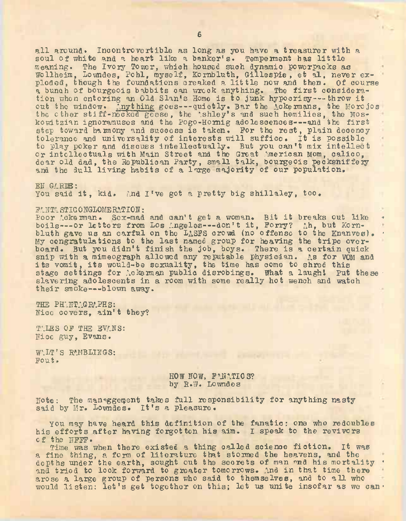all around. Incontrovertible as long as you have <sup>a</sup> treasurer with <sup>a</sup> soul of white and a heart like a banker's. Temperment has little meaning. The Ivory Tower, which housed such dynamic powerpacks as Wellheim, Lowndes, Pohl, myself, Kornbluth, Gillespie, et al, never exploded, though the foundations creaked a little now and then. Of course <sup>a</sup> bunch of bourgeois babbits can wreck anything. The first consideration when entering an Old Sian'<sup>s</sup> Home is to junk hypocrisy--- throw it out the window. Anything goes---quietly. Bar the Ackermans, the Morojos the other stiff-necked goese, the 'shley's and such homilies, the Moskowitzian ignoramuses and the Pogo-Hornig adolescences---and the first step toward haimony and success is taken. For the rest, plain decency tolerance and universality of interests will suffice. It is possible to play poker and discuss intellectually. But you can't mix intellect or intellectuals with Main Street and the Great American Mom, calico, dear old dad, the Republican Party, small talk, bourgeois peoksniffeiy and the dull living habits of a large majority of our population.

 $EN$   $G$   $R$  $B$  : You said it, kid. And I've got a pretty big shillaley, too.

#### FANTA STIG ONGLOMERATION:

Poor Ackerman. Sex-mad and can't get a woman. Bit it breaks out like boils---or letters from Los Angeles---don't it, Forry? Ah, but Kornbluth gave us an earful on the LASFS crowd (no offense to the Knanves). • My congratulations to the last named group for heaving the tripe overboard. But you didn't finish the job, boys. There is a certain quick snip with a mimeograph allowed any reputable physician. As for VOM and ship with a mimeograph allowed any reputable physician. As for We<br>its vomit, its would-be sexuality, the time has come to shred this stage settings for Ackerman public disrobings. What a laugh! Put these slave ring adolescents in a room with some really hot wench and watch their smoke--- blown away.

THE PHANTAGRAPHS: Nice covers, ain't they?

TALES OF THE EVANS: Nice guy, Evans.

WALT'S RAMBLINGS: Fout.

## HOW NOW, FANATICS? by R.W. Lowndes

Note: The managgement takes full responsibility for anything nasty said by Mr. Lowndes. It'<sup>s</sup> <sup>a</sup> pleasure.

You may have heard this definition of the fanatic: one who redoubles his efforts after having forgotten his aim. I speak to the revivors of the NFWP.

Time was when there existed a thing called science fiction. It was a fine was when there existed a thing oxide is stormed the heavens, and the depths under the earth, sought out the secrets of man and his mortality · and tried to look forward to greater tomorrows. And in that time there arose a large group of persons who said to themselves, and to all who would listen: let's get together on this; let us unite insofar as we can.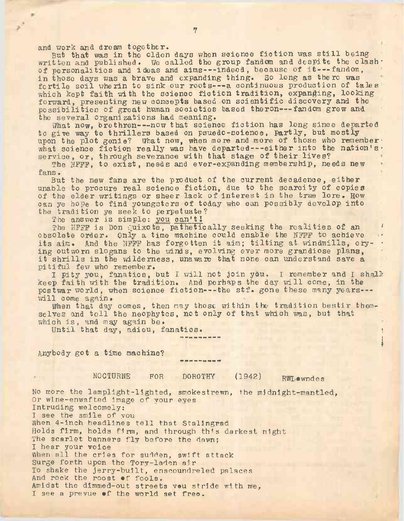and work and drcam together.

But that was in the olden days when soienoe fiction was still being written and published. We called the group fandom and despite the clash. of personalities and ideas and aims---indeed, because of it---fandom, in those days was a brave and expanding thing. So long as there was fortile soil wherin to sink our roots---a continuous production of tales which kept faith with the science fiction tradition, expanging, looking forward, presenting new concepts based on scientific discovery and the possibilities of great human societies based theron---fandom grew and the several organizations had meaning.

What now, brethren --- now that science fiction has long since departed to give way to thrillers based on psuedo-science, Partly, but mostly upon the plot genie? What now, when more and more of those who remember. what science fiction really was have departed---either into the nation's. service, or, through severance with that stage of their lives?

The NFFF, to exist, needs and ever-expanding membership, needs new fans.

But the new fans are the product of the current decadence, either unable to procure real science fiction, due to the scarcity of copies of the elder writings or sheer lack of interest in the true lore. How can ye hope to find youngsters of today who can possibly develop into the tradition ye seek to perpetuate?

The answer is simple: you can't!

The NFFF is Don Quixote, pathetically seeking the realities of an obsolete order. Only a time machine could enable the NFFF to achieve its aim. And the NFFF has forgotten it aim; tilting at. windmills, cry- \* ing outworn slogans to the winds, evolving ever more grandiose plans, it shrills in the wilderness, unaware that none can understand save <sup>a</sup> pitiful few who remember.

I Pity you, fanatics, but I will not join you. I remember and I shall' keep faith with the tradition. And perhaps the day will come, in the postwar world, when science fiction---the stf. gone these many years--will come again.

When that day comes, then may those within the tradition bestir themselves and tell the neophytes, not only of that which was, but that which is, and may again be.

Until that day, adieu, fanatics.

Anybody got a time machine?

NOCTURNE FOR DOROTHY (1942) RWL.owndes

i

No more the lamplight-lighted, smokestrewn, the midnight-mantled, Or wine-enwafted image of your eyes Intruding welcomely: I see the smile of you When 4-inch headlines tell that Stalingrad Holds firm, holds firm, and through th^s darkest night The scarlet banners fly before the dawn; I hear your voice When all the cries for sudden, swift attack Surge forth upon the Tory-laden air To shake the jerry-built, enscoundreled palaces And rock the roost »f fools. Amidst the dimmed-out streets vou stride with me, I see a prevue of the world set free.